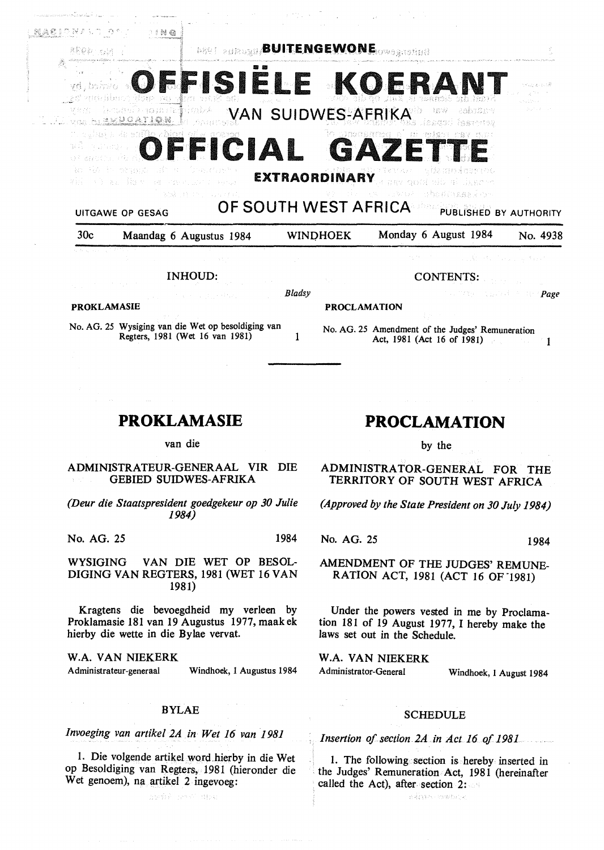| 30 <sub>c</sub>              | Maandag 6 Augustus 1984                                      | <b>WINDHOEK</b>                   | Monday 6 August 1984                                                    | No. 4938    |
|------------------------------|--------------------------------------------------------------|-----------------------------------|-------------------------------------------------------------------------|-------------|
| <b>UITGAWE OP GESAG</b>      |                                                              | OF SOUTH WEST AFRICA              | PUBLISHED BY AUTHORITY                                                  |             |
|                              | which is how the second constant of the same<br>金融し母 中心 のうなわ |                                   | s pay quoi sib ai liggere.<br>งเหตุการประเทศ การศึกษา (Alexandria) หรือ |             |
|                              | ko tie in wiggie sin de brandarsta                           | <b>EXTRAORDINARY</b>              | たちとばけ 落ちたださうし                                                           |             |
|                              | OFFICIAL                                                     |                                   | GAZETTE                                                                 |             |
| <b>THE VISE IS ENGATION.</b> |                                                              |                                   | AD TO MAN TANK COLLE                                                    |             |
|                              | Vining The approximation in mass                             | VAN SUIDWES-AFRIKA                | asbiStr                                                                 | きにょくしゃ      |
| new week and the condition   |                                                              |                                   | OFFISIELE KOERAN                                                        | trae accoli |
|                              |                                                              |                                   |                                                                         |             |
| RPDB - ELA                   |                                                              | <b>ARRELY BUITENGEWONE</b> OWNERS |                                                                         |             |
| 超適窓目の容方に白 ひたこ                | 二十时 储                                                        |                                   |                                                                         |             |

INHOUD: CONTENTS:

No. AG. 25 Wysiging van die Wet op besoldiging van Regters, 1981 (Wet 16 van 1981) 1

| <b>Bladsy</b> | standing a control of the <b>Page</b> |  |
|---------------|---------------------------------------|--|
|               |                                       |  |

#### **PROKLAMASIE PROCLAMATION**

No. AG. 25 Amendment of the Judges' Remuneration Act, 1981 (Act 16 of 1981)

## **PROKLAMASIE**

van die

#### ADMINISTRATEUR-GENERAAL VIR DIE GEBIED SUIDWES-AFRIKA

*(Deur die Staatspresident goedgekeur op 30 Julie 1984)* 

No. AG. 25 1984

WYSIGING VAN DIE WET OP BESOL-DIGING VAN REGTERS, 1981 (WET 16 VAN 1981)

Kragtens die bevoegdheid my verleen by Proklamasie 181 van 19 Augustus 1977, maakek hierby die wette in die Bylae vervat.

**W.A. VAN NIEKERK**  Administrateur-generaal Windhoek, 1 Augustus 1984

#### BYLAE

*Invoeging van artikel 2A in Wet 16 van 1981* 

1. Die volgende artikel word.hierby in die Wet op Besoldiging van Regters, 1981 (hieronder die Wet genoem), na artikel 2 ingevoeg:

avdrh and day

# **PROCLAMATION**

by the

ADMINISTRATOR-GENERAL FOR THE TERRITORY OF SOUTH WEST AFRICA

*(Approved by the State President on 30 July 1984)* 

No. AG. 25 1984

AMENDMENT OF THE JUDGES' REMUNE-RATION ACT, 1981 (ACT 16 OF "1981)

Under the powers vested in me by Proclamation 181 of 19 August 1977, I hereby make the laws set out in the Schedule.

**W.A. VAN NIEKERK**  Administrator-General Windhoek, 1 August 1984

#### SCHEDULE

*Insertion of.section 2A in Act 16 of 1981* 

1. The following section is hereby inserted in the Judges' Remuneration Act, 1981 (hereinafter called the Act), after-section  $2:$ 

adiyas vautate.